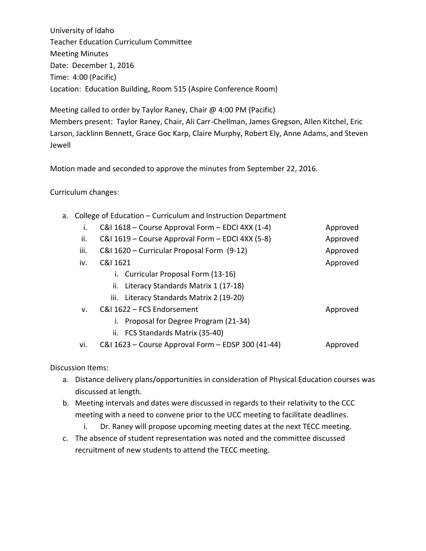University of Idaho Teacher Education Curriculum Committee Meeting Minutes Date: December 1, 2016 Time: 4:00 (Pacific) Location: Education Building, Room 515 (Aspire Conference Room)

Meeting called to order by Taylor Raney, Chair @ 4:00 PM (Pacific) Members present: Taylor Raney, Chair, Ali Carr-Chellman, James Gregson, Allen Kitchel, Eric Larson, Jacklinn Bennett, Grace Goc Karp, Claire Murphy, Robert Ely, Anne Adams, and Steven Jewell

Motion made and seconded to approve the minutes from September 22, 2016.

## Curriculum changes:

|  |  |  | a. College of Education - Curriculum and Instruction Department |
|--|--|--|-----------------------------------------------------------------|
|--|--|--|-----------------------------------------------------------------|

| i.   | C&I 1618 - Course Approval Form - EDCI 4XX (1-4)   | Approved |
|------|----------------------------------------------------|----------|
| ii.  | C&I 1619 - Course Approval Form - EDCI 4XX (5-8)   | Approved |
| iii. | C&I 1620 - Curricular Proposal Form (9-12)         | Approved |
| iv.  | C&I 1621                                           | Approved |
|      | i. Curricular Proposal Form (13-16)                |          |
|      | Literacy Standards Matrix 1 (17-18)<br>II.         |          |
|      | iii. Literacy Standards Matrix 2 (19-20)           |          |
| v.   | C&I 1622 - FCS Endorsement                         | Approved |
|      | Proposal for Degree Program (21-34)                |          |
|      | ii. FCS Standards Matrix (35-40)                   |          |
| vi.  | C&I 1623 – Course Approval Form – EDSP 300 (41-44) | Approved |

Discussion Items:

- a. Distance delivery plans/opportunities in consideration of Physical Education courses was discussed at length.
- b. Meeting intervals and dates were discussed in regards to their relativity to the CCC meeting with a need to convene prior to the UCC meeting to facilitate deadlines.
	- i. Dr. Raney will propose upcoming meeting dates at the next TECC meeting.
- c. The absence of student representation was noted and the committee discussed recruitment of new students to attend the TECC meeting.